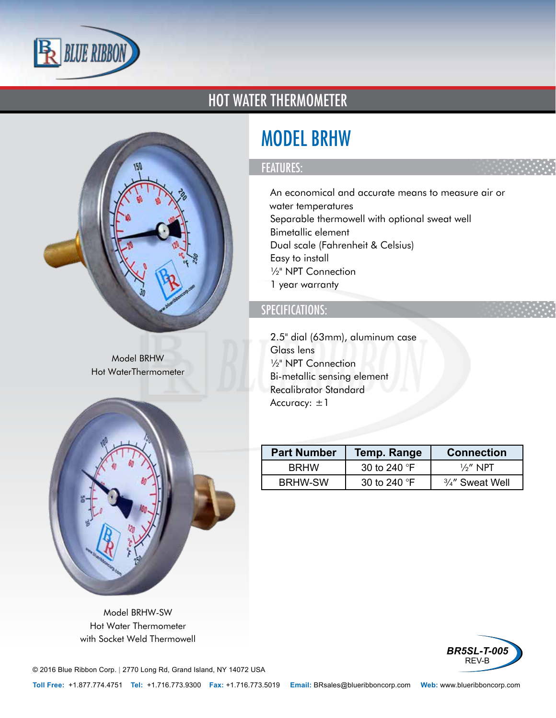

## HOT WATER THERMOMETER



Model BRHW Hot WaterThermometer



Model BRHW-SW Hot Water Thermometer with Socket Weld Thermowell

# MODEL BRHW

### FEATURES:

- An economical and accurate means to measure air or water temperatures
- Separable thermowell with optional sweat well
- Bimetallic element
- Dual scale (Fahrenheit & Celsius)
- Easy to install
- ½" NPT Connection
- 1 year warranty

### SPECIFICATIONS:

- 2.5" dial (63mm), aluminum case
- Glass lens
- ½" NPT Connection
- Bi-metallic sensing element
- Recalibrator Standard
- Accuracy:  $\pm 1$

| <b>Part Number</b> | <b>Temp. Range</b>    | <b>Connection</b>  |
|--------------------|-----------------------|--------------------|
| <b>BRHW</b>        | 30 to 240 $\degree$ F | $\frac{1}{2}$ NPT  |
| <b>BRHW-SW</b>     | 30 to 240 $\degree$ F | $3/4''$ Sweat Well |
|                    |                       |                    |



© 2016 Blue Ribbon Corp. *<sup>|</sup>* 2770 Long Rd, Grand Island, NY 14072 USA